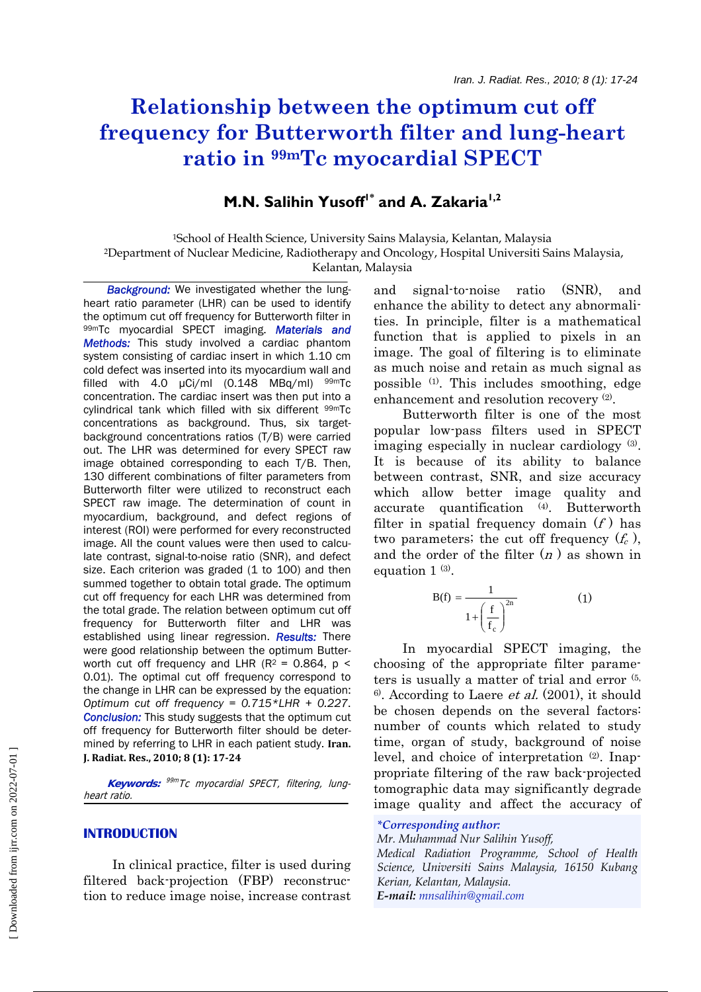# **Relationship between the optimum cut off frequency for Butterworth filter and lung-heart ratio in 99mTc myocardial SPECT**

# **M.N. Salihin Yusoff<sup>1\*</sup> and A. Zakaria<sup>1,2</sup>**

1School of Health Science, University Sains Malaysia, Kelantan, Malaysia 2Department of Nuclear Medicine, Radiotherapy and Oncology, Hospital Universiti Sains Malaysia, Kelantan, Malaysia

**Background:** We investigated whether the lungheart ratio parameter (LHR) can be used to identify the optimum cut off frequency for Butterworth filter in 99mTc myocardial SPECT imaging. *Materials and Methods:* This study involved a cardiac phantom system consisting of cardiac insert in which 1.10 cm cold defect was inserted into its myocardium wall and filled with 4.0  $\mu$ Ci/ml (0.148 MBq/ml)  $99m$ Tc concentration. The cardiac insert was then put into a cylindrical tank which filled with six different <sup>99m</sup>Tc concentrations as background. Thus, six targetbackground concentrations ratios (T/B) were carried out. The LHR was determined for every SPECT raw image obtained corresponding to each T/B. Then, 130 different combinations of filter parameters from Butterworth filter were utilized to reconstruct each SPECT raw image. The determination of count in myocardium, background, and defect regions of interest (ROI) were performed for every reconstructed image. All the count values were then used to calculate contrast, signal-to-noise ratio (SNR), and defect size. Each criterion was graded (1 to 100) and then summed together to obtain total grade. The optimum cut off frequency for each LHR was determined from the total grade. The relation between optimum cut off frequency for Butterworth filter and LHR was established using linear regression. *Results:* There were good relationship between the optimum Butterworth cut off frequency and LHR ( $R^2$  = 0.864,  $p$  < 0.01). The optimal cut off frequency correspond to the change in LHR can be expressed by the equation: *Optimum cut off frequency = 0.715\*LHR + 0.227*. *Conclusion:* This study suggests that the optimum cut off frequency for Butterworth filter should be determined by referring to LHR in each patient study. **Iran. J. Radiat. Res., 2010; 8 (1): 1724**

 **Keywords:** 99m Tc myocardial SPECT, filtering, lungheart ratio.

# **INTRODUCTION**

 In clinical practice, filter is used during filtered back-projection (FBP) reconstruction to reduce image noise, increase contrast and signal-to-noise ratio (SNR), and enhance the ability to detect any abnormalities. In principle, filter is a mathematical function that is applied to pixels in an image. The goal of filtering is to eliminate as much noise and retain as much signal as possible (1). This includes smoothing, edge enhancement and resolution recovery (2).

 Butterworth filter is one of the most popular low-pass filters used in SPECT imaging especially in nuclear cardiology (3). It is because of its ability to balance between contrast, SNR, and size accuracy which allow better image quality and accurate quantification (4). Butterworth filter in spatial frequency domain  $(f)$  has two parameters; the cut off frequency  $(f_c)$ , and the order of the filter  $(n)$  as shown in equation 1<sup>(3)</sup>.

$$
B(f) = \frac{1}{1 + \left(\frac{f}{f_c}\right)^{2n}}
$$
 (1)

 In myocardial SPECT imaging, the choosing of the appropriate filter parameters is usually a matter of trial and error (5,  $6^{\circ}$ . According to Laere *et al.* (2001), it should be chosen depends on the several factors: number of counts which related to study time, organ of study, background of noise level, and choice of interpretation (2). Inappropriate filtering of the raw back-projected tomographic data may significantly degrade image quality and affect the accuracy of

# *\*Corresponding author:*

*Mr. Muhammad Nur Salihin Yusoff, Medical Radiation Programme, School of Health Science, Universiti Sains Malaysia, 16150 Kubang Kerian, Kelantan, Malaysia. E-mail: mnsalihin@gmail.com*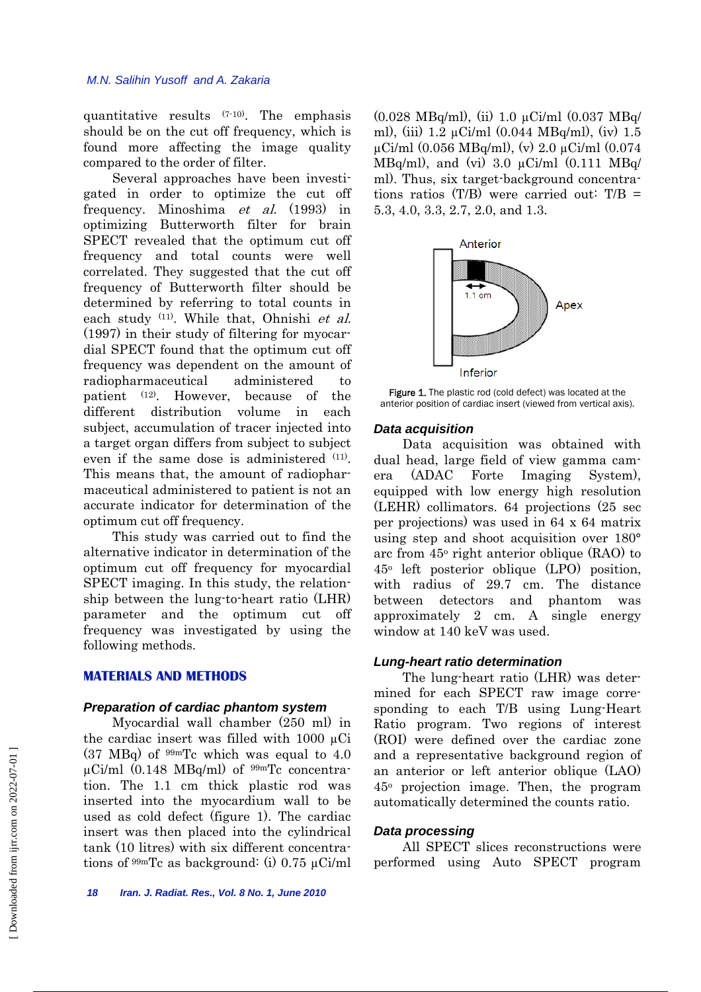quantitative results (7-10). The emphasis should be on the cut off frequency, which is found more affecting the image quality compared to the order of filter.

 Several approaches have been investigated in order to optimize the cut off frequency. Minoshima et al. (1993) in optimizing Butterworth filter for brain SPECT revealed that the optimum cut off frequency and total counts were well correlated. They suggested that the cut off frequency of Butterworth filter should be determined by referring to total counts in each study <sup>(11)</sup>. While that, Ohnishi et al. (1997) in their study of filtering for myocardial SPECT found that the optimum cut off frequency was dependent on the amount of radiopharmaceutical administered to patient (12). However, because of the different distribution volume in each subject, accumulation of tracer injected into a target organ differs from subject to subject even if the same dose is administered  $(11)$ . This means that, the amount of radiopharmaceutical administered to patient is not an accurate indicator for determination of the optimum cut off frequency.

 This study was carried out to find the alternative indicator in determination of the optimum cut off frequency for myocardial SPECT imaging. In this study, the relationship between the lung-to-heart ratio (LHR) parameter and the optimum cut off frequency was investigated by using the following methods.

# **MATERIALS AND METHODS**

#### *Preparation of cardiac phantom system*

 Myocardial wall chamber (250 ml) in the cardiac insert was filled with  $1000 \mu$ Ci  $(37 \text{ MBq})$  of  $99 \text{ mTc}$  which was equal to 4.0  $\mu$ Ci/ml (0.148 MBq/ml) of  $\frac{99m}{\text{Tc}}$  concentration. The 1.1 cm thick plastic rod was inserted into the myocardium wall to be used as cold defect (figure 1). The cardiac insert was then placed into the cylindrical tank (10 litres) with six different concentrations of  $99m$ Tc as background: (i) 0.75  $\mu$ Ci/ml (0.028 MBq/ml), (ii) 1.0 µCi/ml (0.037 MBq/ ml), (iii)  $1.2 \mu$ Ci/ml (0.044 MBq/ml), (iv)  $1.5$  $\mu$ Ci/ml (0.056 MBq/ml), (v) 2.0  $\mu$ Ci/ml (0.074 MBq/ml), and (vi)  $3.0 \text{ }\mu\text{Ci/ml}$   $(0.111 \text{ } MBq/$ ml). Thus, six target-background concentrations ratios  $(T/B)$  were carried out:  $T/B =$ 5.3, 4.0, 3.3, 2.7, 2.0, and 1.3.



Figure 1. The plastic rod (cold defect) was located at the anterior position of cardiac insert (viewed from vertical axis).

#### *Data acquisition*

 Data acquisition was obtained with dual head, large field of view gamma camera (ADAC Forte Imaging System), equipped with low energy high resolution (LEHR) collimators. 64 projections (25 sec per projections) was used in 64 x 64 matrix using step and shoot acquisition over 180° arc from 45o right anterior oblique (RAO) to  $45^{\circ}$  left posterior oblique (LPO) position, with radius of 29.7 cm. The distance between detectors and phantom was approximately 2 cm. A single energy window at 140 keV was used.

#### *Lung-heart ratio determination*

 The lung-heart ratio (LHR) was determined for each SPECT raw image corresponding to each T/B using Lung-Heart Ratio program. Two regions of interest (ROI) were defined over the cardiac zone and a representative background region of an anterior or left anterior oblique (LAO) 45o projection image. Then, the program automatically determined the counts ratio.

# *Data processing*

 All SPECT slices reconstructions were performed using Auto SPECT program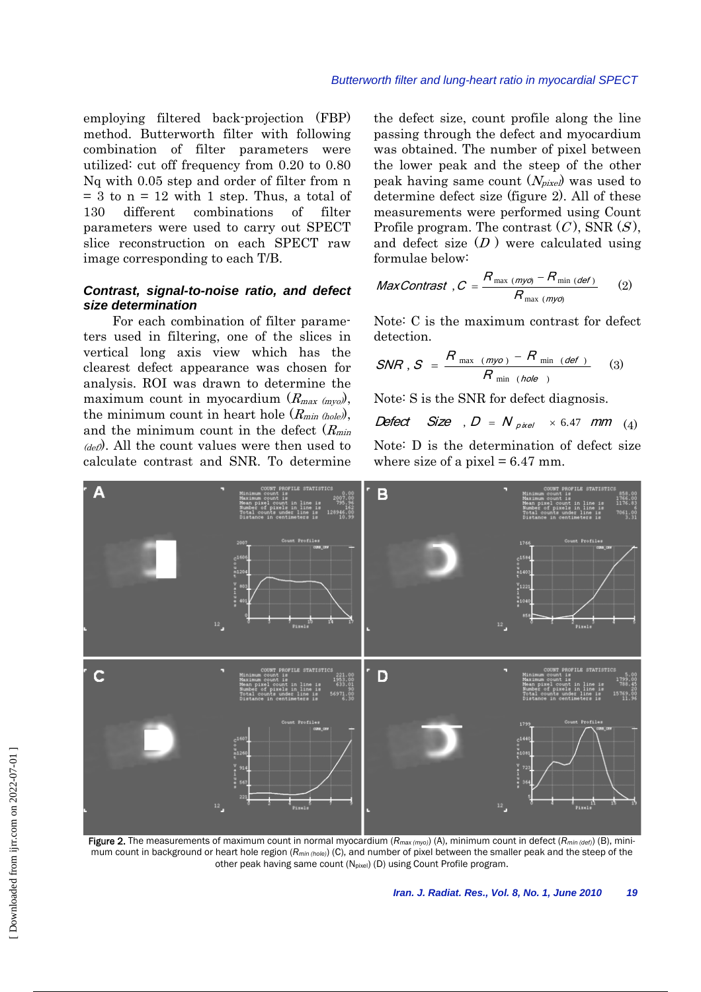employing filtered back-projection (FBP) method. Butterworth filter with following combination of filter parameters were utilized: cut off frequency from 0.20 to 0.80 Nq with 0.05 step and order of filter from n  $= 3$  to  $n = 12$  with 1 step. Thus, a total of 130 different combinations of filter parameters were used to carry out SPECT slice reconstruction on each SPECT raw image corresponding to each T/B.

# *Contrast, signal-to-noise ratio, and defect size determination*

 For each combination of filter parameters used in filtering, one of the slices in vertical long axis view which has the clearest defect appearance was chosen for analysis. ROI was drawn to determine the maximum count in myocardium  $(R_{max(mvo)})$ , the minimum count in heart hole  $(R_{min (hole)})$ , and the minimum count in the defect  $(R_{min})$  $(d_{\text{eff}})$ . All the count values were then used to calculate contrast and SNR. To determine the defect size, count profile along the line passing through the defect and myocardium was obtained. The number of pixel between the lower peak and the steep of the other peak having same count  $(N_{pixel})$  was used to determine defect size (figure 2). All of these measurements were performed using Count Profile program. The contrast  $(C)$ , SNR  $(S)$ , and defect size  $(D)$  were calculated using formulae below:

$$
MaxContrast, C = \frac{R_{\max (myo)} - R_{\min (def)}}{R_{\max (myo)}} \qquad (2)
$$

Note: C is the maximum contrast for defect detection.

$$
SNR, S = \frac{R_{\text{max (myo)} - R_{\text{min (def)}}}}{R_{\text{min (hole)}}}
$$
 (3)

Note: S is the SNR for defect diagnosis.

$$
Defect \quad Size \quad , D = N_{pixel} \quad \times 6.47 \quad mm \quad (4)
$$

Note: D is the determination of defect size where size of a pixel  $= 6.47$  mm.



Figure 2. The measurements of maximum count in normal myocardium ( $R_{max(myo)}$ ) (A), minimum count in defect ( $R_{min (def)})$  (B), minimum count in background or heart hole region (*Rmin (hole)*) (C), and number of pixel between the smaller peak and the steep of the other peak having same count (N<sub>pixel</sub>) (D) using Count Profile program.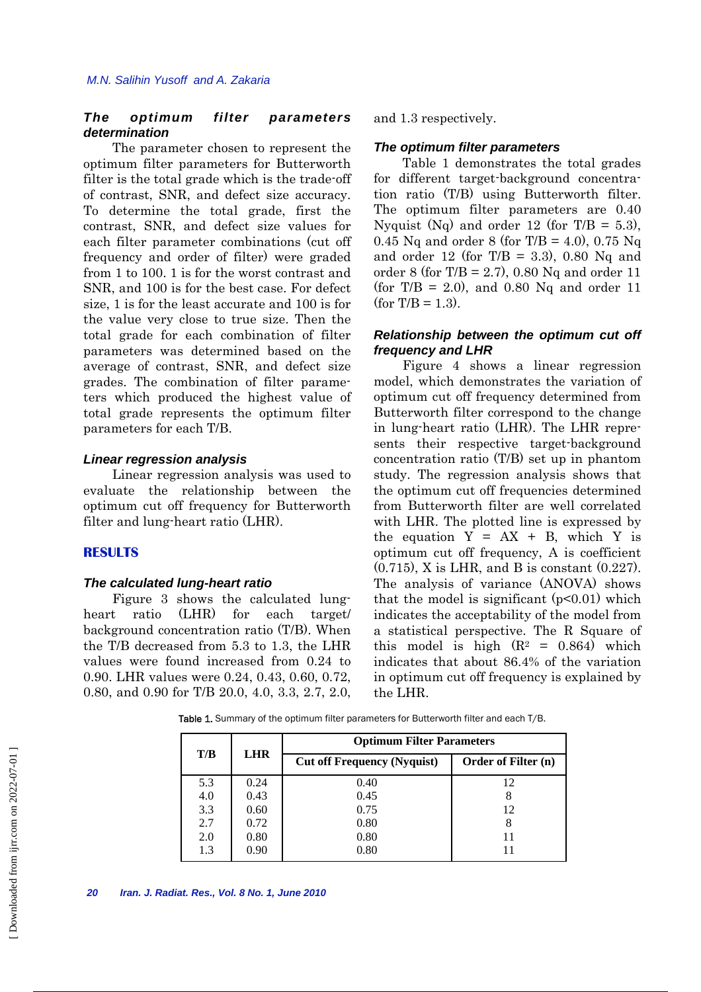# *The optimum filter parameters determination*

 The parameter chosen to represent the optimum filter parameters for Butterworth filter is the total grade which is the trade-off of contrast, SNR, and defect size accuracy. To determine the total grade, first the contrast, SNR, and defect size values for each filter parameter combinations (cut off frequency and order of filter) were graded from 1 to 100. 1 is for the worst contrast and SNR, and 100 is for the best case. For defect size, 1 is for the least accurate and 100 is for the value very close to true size. Then the total grade for each combination of filter parameters was determined based on the average of contrast, SNR, and defect size grades. The combination of filter parameters which produced the highest value of total grade represents the optimum filter parameters for each T/B.

#### *Linear regression analysis*

 Linear regression analysis was used to evaluate the relationship between the optimum cut off frequency for Butterworth filter and lung-heart ratio (LHR).

#### **RESULTS**

#### *The calculated lung-heart ratio*

 Figure 3 shows the calculated lungheart ratio (LHR) for each target/ background concentration ratio (T/B). When the T/B decreased from 5.3 to 1.3, the LHR values were found increased from 0.24 to 0.90. LHR values were 0.24, 0.43, 0.60, 0.72, 0.80, and 0.90 for T/B 20.0, 4.0, 3.3, 2.7, 2.0, and 1.3 respectively.

#### *The optimum filter parameters*

 Table 1 demonstrates the total grades for different target-background concentration ratio (T/B) using Butterworth filter. The optimum filter parameters are 0.40 Nyquist (Nq) and order 12 (for T/B = 5.3), 0.45 Nq and order 8 (for T/B = 4.0), 0.75 Nq and order 12 (for  $T/B = 3.3$ ), 0.80 Nq and order 8 (for T/B = 2.7), 0.80 Nq and order 11 (for  $T/B = 2.0$ ), and 0.80 Nq and order 11  $(for T/B = 1.3).$ 

# *Relationship between the optimum cut off frequency and LHR*

 Figure 4 shows a linear regression model, which demonstrates the variation of optimum cut off frequency determined from Butterworth filter correspond to the change in lung-heart ratio (LHR). The LHR represents their respective target-background concentration ratio (T/B) set up in phantom study. The regression analysis shows that the optimum cut off frequencies determined from Butterworth filter are well correlated with LHR. The plotted line is expressed by the equation  $Y = AX + B$ , which Y is optimum cut off frequency, A is coefficient (0.715), X is LHR, and B is constant (0.227). The analysis of variance (ANOVA) shows that the model is significant  $(p<0.01)$  which indicates the acceptability of the model from a statistical perspective. The R Square of this model is high  $(R^2 = 0.864)$  which indicates that about 86.4% of the variation in optimum cut off frequency is explained by the LHR.

Table 1. Summary of the optimum filter parameters for Butterworth filter and each T/B.

| T/B | <b>LHR</b> | <b>Optimum Filter Parameters</b>   |                     |
|-----|------------|------------------------------------|---------------------|
|     |            | <b>Cut off Frequency (Nyquist)</b> | Order of Filter (n) |
| 5.3 | 0.24       | 0.40                               | 12                  |
| 4.0 | 0.43       | 0.45                               |                     |
| 3.3 | 0.60       | 0.75                               | 12                  |
| 2.7 | 0.72       | 0.80                               |                     |
| 2.0 | 0.80       | 0.80                               |                     |
| 1.3 | 0.90       | 0.80                               |                     |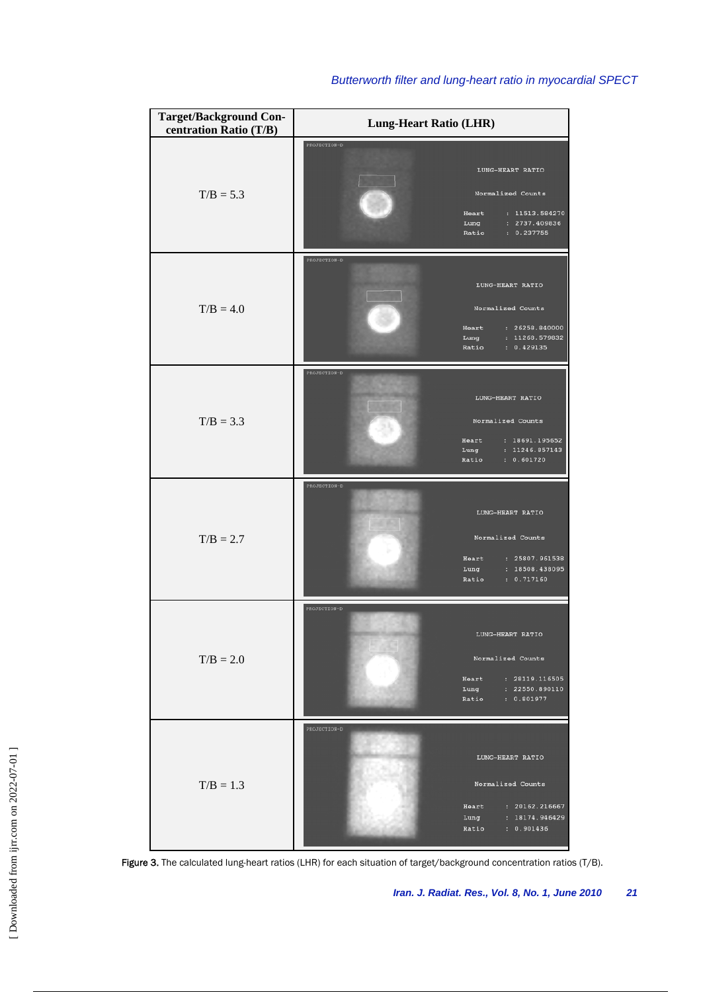| <b>Target/Background Con-</b><br>centration Ratio (T/B) | <b>Lung-Heart Ratio (LHR)</b>                                                                                                     |
|---------------------------------------------------------|-----------------------------------------------------------------------------------------------------------------------------------|
| $T/B = 5.3$                                             | PROJECTION-D<br>LUNG-HEART RATIO<br>Normalized Counts<br>: 11513.584270<br>Heart<br>: 2737.409836<br>Lung<br>: 0.237755<br>Ratio  |
| $T/B = 4.0$                                             | PROJECTION-D<br>LUNG-HEART RATIO<br>Normalized Counts<br>: 26258.840000<br>Heart<br>: 11268.579832<br>Lung<br>: 0.429135<br>Ratio |
| $T/B = 3.3$                                             | PROJECTION-D<br>LUNG-HEART RATIO<br>Normalized Counts<br>: 18691.195652<br>Heart<br>: 11246.857143<br>Lung<br>: 0.601720<br>Ratio |
| $T/B = 2.7$                                             | PROJECTION-D<br>LUNG-HEART RATIO<br>Normalized Counts<br>Heart<br>: 25807.961538<br>: 18508.438095<br>Lung<br>: 0.717160<br>Ratio |
| $T/B = 2.0$                                             | PROJECTION-D<br>LUNG-HEART RATIO<br>Normalized Counts<br>: 28119.116505<br>Heart<br>: 22550.890110<br>Lung<br>: 0.801977<br>Ratio |
| $T/B = 1.3$                                             | PROJECTION-D<br>LUNG-HEART RATIO<br>Normalized Counts<br>Heart<br>: 20162.216667<br>: 18174.946429<br>Lung<br>Ratio<br>: 0.901436 |

# *Butterworth filter and lung-heart ratio in myocardial SPECT*

Figure 3. The calculated lung-heart ratios (LHR) for each situation of target/background concentration ratios (T/B).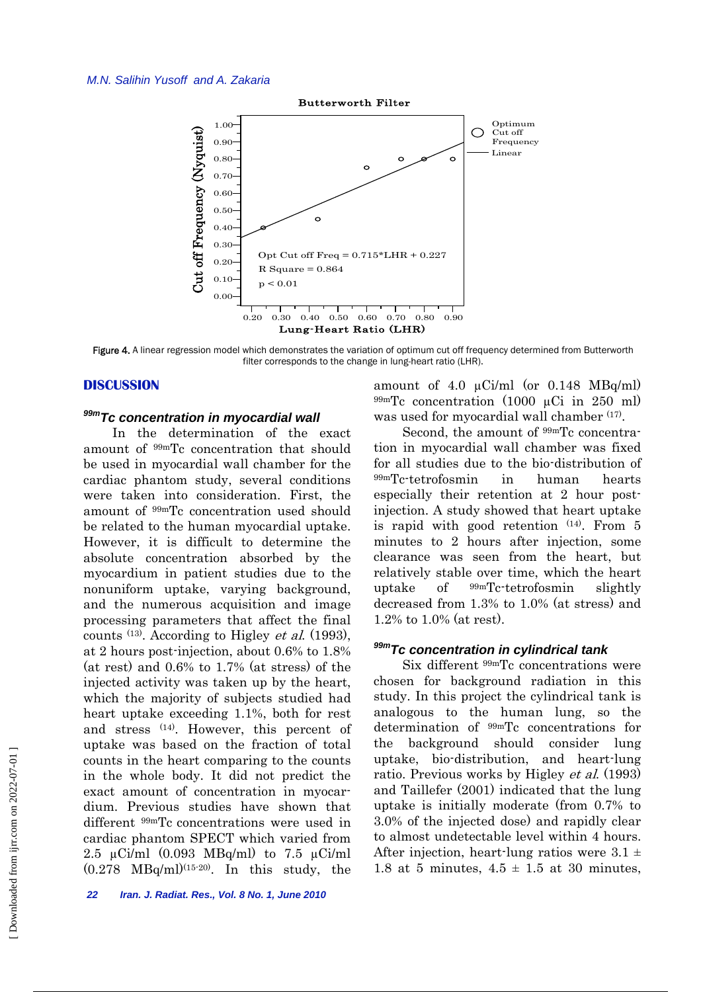#### *M.N. Salihin Yusoff and A. Zakaria*



Figure 4. A linear regression model which demonstrates the variation of optimum cut off frequency determined from Butterworth filter corresponds to the change in lung-heart ratio (LHR).

# **DISCUSSION**

# *99mTc concentration in myocardial wall*

 In the determination of the exact amount of 99mTc concentration that should be used in myocardial wall chamber for the cardiac phantom study, several conditions were taken into consideration. First, the amount of 99mTc concentration used should be related to the human myocardial uptake. However, it is difficult to determine the absolute concentration absorbed by the myocardium in patient studies due to the nonuniform uptake, varying background, and the numerous acquisition and image processing parameters that affect the final counts  $(13)$ . According to Higley *et al.* (1993), at 2 hours post-injection, about 0.6% to 1.8% (at rest) and 0.6% to 1.7% (at stress) of the injected activity was taken up by the heart, which the majority of subjects studied had heart uptake exceeding 1.1%, both for rest and stress (14). However, this percent of uptake was based on the fraction of total counts in the heart comparing to the counts in the whole body. It did not predict the exact amount of concentration in myocardium. Previous studies have shown that different 99mTc concentrations were used in cardiac phantom SPECT which varied from 2.5  $\mu$ Ci/ml (0.093 MBq/ml) to 7.5  $\mu$ Ci/ml  $(0.278 \text{ MBq/ml})^{(15\text{-}20)}$ . In this study, the amount of 4.0 µCi/ml (or 0.148 MBq/ml)  $99mTc$  concentration (1000 µCi in 250 ml) was used for myocardial wall chamber <sup>(17)</sup>.

Second, the amount of  $99mTc$  concentration in myocardial wall chamber was fixed for all studies due to the bio-distribution of 99mTc-tetrofosmin in human hearts especially their retention at 2 hour postinjection. A study showed that heart uptake is rapid with good retention  $(14)$ . From 5 minutes to 2 hours after injection, some clearance was seen from the heart, but relatively stable over time, which the heart uptake of 99mTc-tetrofosmin slightly decreased from 1.3% to 1.0% (at stress) and 1.2% to 1.0% (at rest).

# *99mTc concentration in cylindrical tank*

 Six different 99mTc concentrations were chosen for background radiation in this study. In this project the cylindrical tank is analogous to the human lung, so the determination of 99mTc concentrations for the background should consider lung uptake, bio-distribution, and heart-lung ratio. Previous works by Higley et al. (1993) and Taillefer (2001) indicated that the lung uptake is initially moderate (from 0.7% to 3.0% of the injected dose) and rapidly clear to almost undetectable level within 4 hours. After injection, heart-lung ratios were  $3.1 \pm$ 1.8 at 5 minutes,  $4.5 \pm 1.5$  at 30 minutes,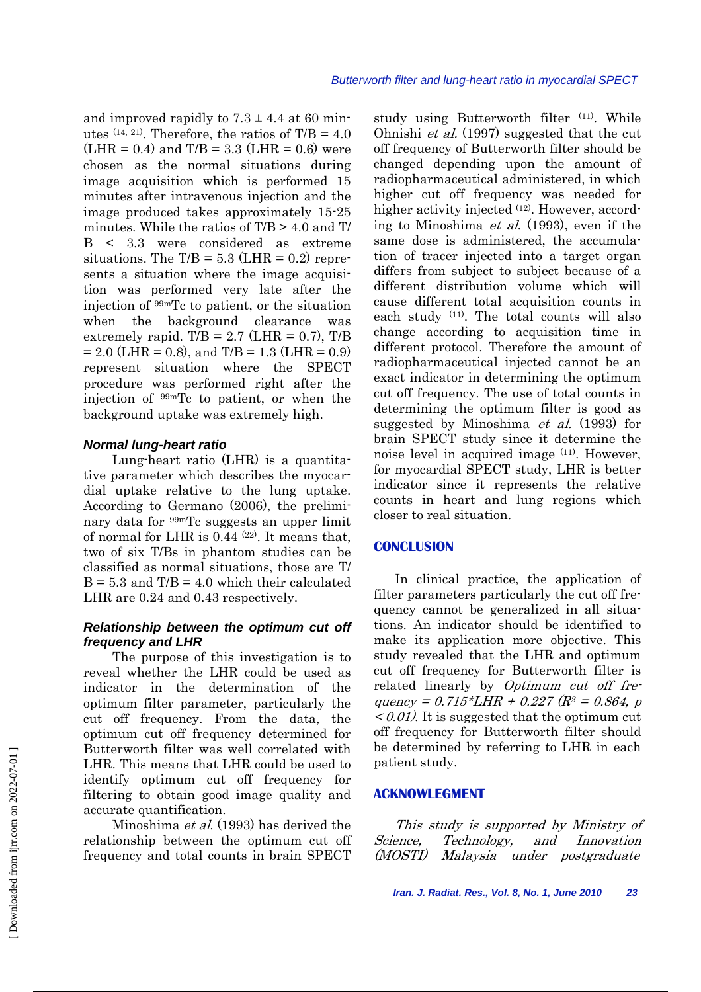and improved rapidly to  $7.3 \pm 4.4$  at 60 minutes  $(14, 21)$ . Therefore, the ratios of T/B = 4.0  $(LHR = 0.4)$  and  $T/B = 3.3$   $(LHR = 0.6)$  were chosen as the normal situations during image acquisition which is performed 15 minutes after intravenous injection and the image produced takes approximately 15-25 minutes. While the ratios of  $T/B > 4.0$  and T/ B < 3.3 were considered as extreme situations. The  $T/B = 5.3$  (LHR = 0.2) represents a situation where the image acquisition was performed very late after the injection of 99mTc to patient, or the situation when the background clearance was extremely rapid. T/B =  $2.7$  (LHR = 0.7), T/B  $= 2.0$  (LHR = 0.8), and T/B = 1.3 (LHR = 0.9) represent situation where the SPECT procedure was performed right after the injection of 99mTc to patient, or when the background uptake was extremely high.

#### *Normal lung-heart ratio*

 Lung-heart ratio (LHR) is a quantitative parameter which describes the myocardial uptake relative to the lung uptake. According to Germano (2006), the preliminary data for 99mTc suggests an upper limit of normal for LHR is 0.44 (22). It means that, two of six T/Bs in phantom studies can be classified as normal situations, those are T/  $B = 5.3$  and  $T/B = 4.0$  which their calculated LHR are  $0.24$  and  $0.43$  respectively.

# *Relationship between the optimum cut off frequency and LHR*

 The purpose of this investigation is to reveal whether the LHR could be used as indicator in the determination of the optimum filter parameter, particularly the cut off frequency. From the data, the optimum cut off frequency determined for Butterworth filter was well correlated with LHR. This means that LHR could be used to identify optimum cut off frequency for filtering to obtain good image quality and accurate quantification.

 Minoshima et al. (1993) has derived the relationship between the optimum cut off frequency and total counts in brain SPECT study using Butterworth filter <sup>(11)</sup>. While Ohnishi et al. (1997) suggested that the cut off frequency of Butterworth filter should be changed depending upon the amount of radiopharmaceutical administered, in which higher cut off frequency was needed for higher activity injected <sup>(12)</sup>. However, according to Minoshima et al. (1993), even if the same dose is administered, the accumulation of tracer injected into a target organ differs from subject to subject because of a different distribution volume which will cause different total acquisition counts in each study (11). The total counts will also change according to acquisition time in different protocol. Therefore the amount of radiopharmaceutical injected cannot be an exact indicator in determining the optimum cut off frequency. The use of total counts in determining the optimum filter is good as suggested by Minoshima *et al.* (1993) for brain SPECT study since it determine the noise level in acquired image (11). However, for myocardial SPECT study, LHR is better indicator since it represents the relative counts in heart and lung regions which closer to real situation.

# **CONCLUSION**

In clinical practice, the application of filter parameters particularly the cut off frequency cannot be generalized in all situations. An indicator should be identified to make its application more objective. This study revealed that the LHR and optimum cut off frequency for Butterworth filter is related linearly by Optimum cut off frequency =  $0.715 * LHR + 0.227 (R^2 = 0.864, p)$  $\langle 0.01 \rangle$ . It is suggested that the optimum cut off frequency for Butterworth filter should be determined by referring to LHR in each patient study.

# **ACKNOWLEGMENT**

This study is supported by Ministry of Science, Technology, and Innovation (MOSTI) Malaysia under postgraduate